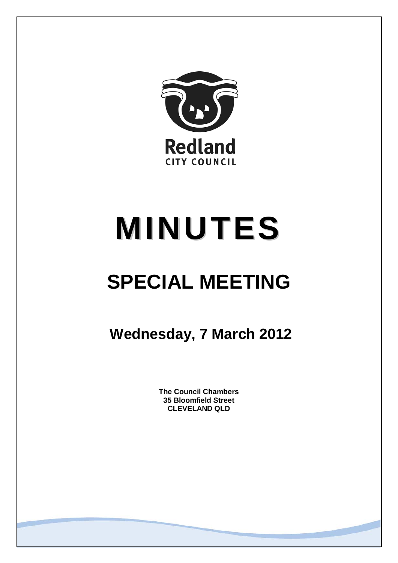

# **MINUTES**

# **SPECIAL MEETING**

**Wednesday, 7 March 2012**

**The Council Chambers 35 Bloomfield Street CLEVELAND QLD**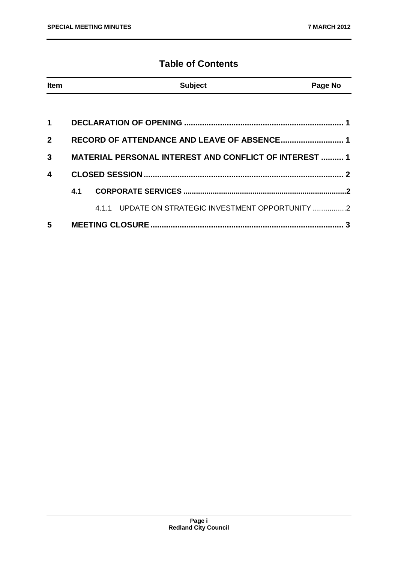# **Table of Contents**

| Item         |                                                               | <b>Subject</b>                                     | Page No |
|--------------|---------------------------------------------------------------|----------------------------------------------------|---------|
|              |                                                               |                                                    |         |
| 1            |                                                               |                                                    |         |
| $\mathbf{2}$ | RECORD OF ATTENDANCE AND LEAVE OF ABSENCE 1                   |                                                    |         |
| 3            | <b>MATERIAL PERSONAL INTEREST AND CONFLICT OF INTEREST  1</b> |                                                    |         |
| 4            |                                                               |                                                    |         |
|              | 4.1                                                           |                                                    |         |
|              |                                                               | 4.1.1 UPDATE ON STRATEGIC INVESTMENT OPPORTUNITY 2 |         |
| 5            |                                                               |                                                    | 3       |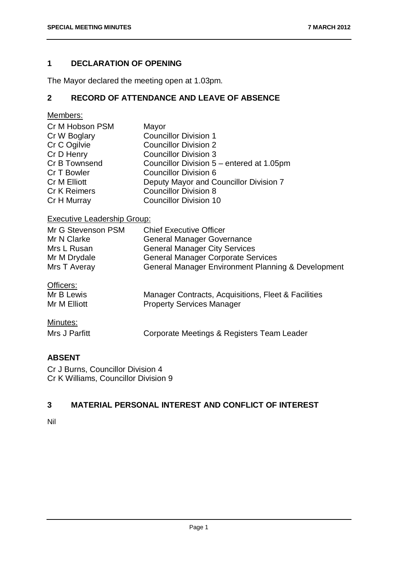# <span id="page-2-0"></span>**1 DECLARATION OF OPENING**

The Mayor declared the meeting open at 1.03pm.

# <span id="page-2-1"></span>**2 RECORD OF ATTENDANCE AND LEAVE OF ABSENCE**

Members:

| Cr M Hobson PSM     | Mayor                                     |
|---------------------|-------------------------------------------|
| Cr W Boglary        | <b>Councillor Division 1</b>              |
| Cr C Ogilvie        | <b>Councillor Division 2</b>              |
| Cr D Henry          | <b>Councillor Division 3</b>              |
| Cr B Townsend       | Councillor Division 5 – entered at 1.05pm |
| Cr T Bowler         | <b>Councillor Division 6</b>              |
| Cr M Elliott        | Deputy Mayor and Councillor Division 7    |
| <b>Cr K Reimers</b> | <b>Councillor Division 8</b>              |
| Cr H Murray         | <b>Councillor Division 10</b>             |

# Executive Leadership Group:

| Mr G Stevenson PSM | <b>Chief Executive Officer</b>                      |
|--------------------|-----------------------------------------------------|
| Mr N Clarke        | <b>General Manager Governance</b>                   |
| Mrs L Rusan        | <b>General Manager City Services</b>                |
| Mr M Drydale       | <b>General Manager Corporate Services</b>           |
| Mrs T Averay       | General Manager Environment Planning & Development  |
| Officers:          |                                                     |
| Mr B Lewis         | Manager Contracts, Acquisitions, Fleet & Facilities |
| Mr M Elliott       | <b>Property Services Manager</b>                    |

# Minutes:

| Mrs J Parfitt | Corporate Meetings & Registers Team Leader |
|---------------|--------------------------------------------|
|               |                                            |

# **ABSENT**

Cr J Burns, Councillor Division 4 Cr K Williams, Councillor Division 9

## <span id="page-2-2"></span>**3 MATERIAL PERSONAL INTEREST AND CONFLICT OF INTEREST**

Nil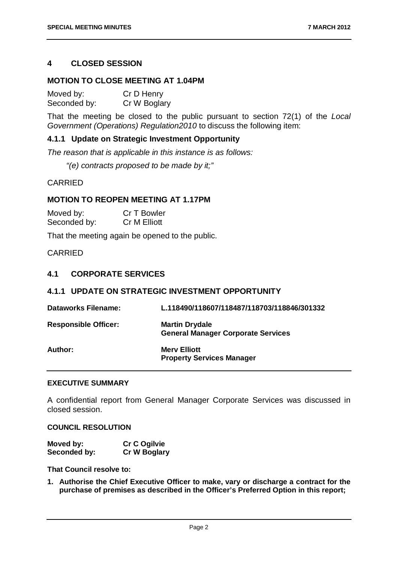### <span id="page-3-0"></span>**4 CLOSED SESSION**

#### **MOTION TO CLOSE MEETING AT 1.04PM**

| Moved by:    | Cr D Henry   |
|--------------|--------------|
| Seconded by: | Cr W Boglary |

That the meeting be closed to the public pursuant to section 72(1) of the *Local Government (Operations) Regulation2010* to discuss the following item:

#### **4.1.1 Update on Strategic Investment Opportunity**

*The reason that is applicable in this instance is as follows:*

*"(e) contracts proposed to be made by it;"*

CARRIED

#### **MOTION TO REOPEN MEETING AT 1.17PM**

| Moved by:    | Cr T Bowler  |
|--------------|--------------|
| Seconded by: | Cr M Elliott |

That the meeting again be opened to the public.

#### CARRIED

#### <span id="page-3-1"></span>**4.1 CORPORATE SERVICES**

### <span id="page-3-2"></span>**4.1.1 UPDATE ON STRATEGIC INVESTMENT OPPORTUNITY**

| <b>Dataworks Filename:</b>  | L.118490/118607/118487/118703/118846/301332                        |
|-----------------------------|--------------------------------------------------------------------|
| <b>Responsible Officer:</b> | <b>Martin Drydale</b><br><b>General Manager Corporate Services</b> |
| Author:                     | <b>Mery Elliott</b><br><b>Property Services Manager</b>            |

#### **EXECUTIVE SUMMARY**

A confidential report from General Manager Corporate Services was discussed in closed session.

#### **COUNCIL RESOLUTION**

| Moved by:    | <b>Cr C Ogilvie</b> |
|--------------|---------------------|
| Seconded by: | <b>Cr W Boglary</b> |

#### **That Council resolve to:**

**1. Authorise the Chief Executive Officer to make, vary or discharge a contract for the purchase of premises as described in the Officer's Preferred Option in this report;**